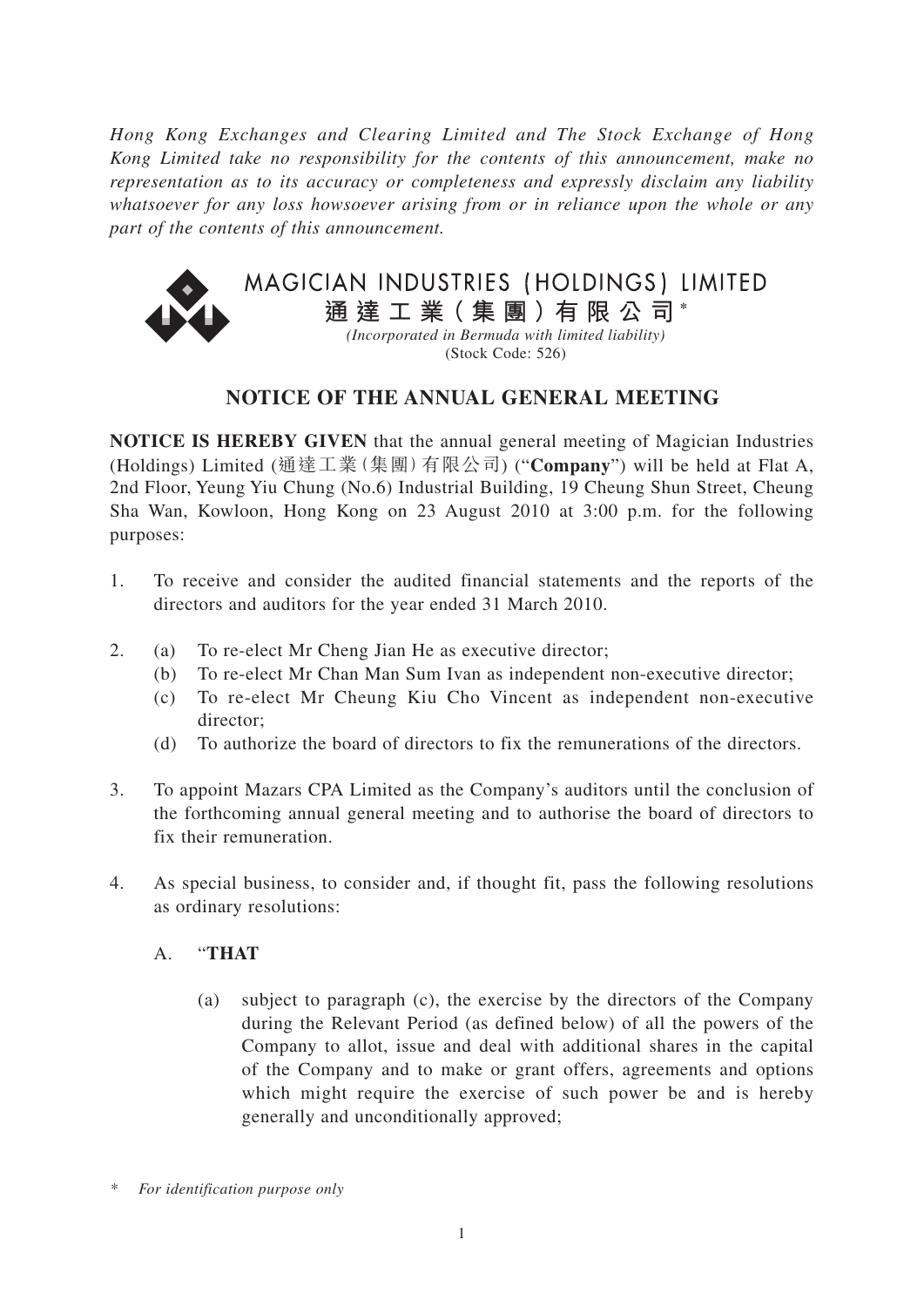*Hong Kong Exchanges and Clearing Limited and The Stock Exchange of Hong Kong Limited take no responsibility for the contents of this announcement, make no representation as to its accuracy or completeness and expressly disclaim any liability whatsoever for any loss howsoever arising from or in reliance upon the whole or any part of the contents of this announcement.*



# **NOTICE OF THE ANNUAL GENERAL MEETING**

**NOTICE IS HEREBY GIVEN** that the annual general meeting of Magician Industries (Holdings) Limited (通達工業(集團)有限公司) ("**Company**") will be held at Flat A, 2nd Floor, Yeung Yiu Chung (No.6) Industrial Building, 19 Cheung Shun Street, Cheung Sha Wan, Kowloon, Hong Kong on 23 August 2010 at 3:00 p.m. for the following purposes:

- 1. To receive and consider the audited financial statements and the reports of the directors and auditors for the year ended 31 March 2010.
- 2. (a) To re-elect Mr Cheng Jian He as executive director;
	- (b) To re-elect Mr Chan Man Sum Ivan as independent non-executive director;
	- (c) To re-elect Mr Cheung Kiu Cho Vincent as independent non-executive director;
	- (d) To authorize the board of directors to fix the remunerations of the directors.
- 3. To appoint Mazars CPA Limited as the Company's auditors until the conclusion of the forthcoming annual general meeting and to authorise the board of directors to fix their remuneration.
- 4. As special business, to consider and, if thought fit, pass the following resolutions as ordinary resolutions:

#### A. "**THAT**

(a) subject to paragraph (c), the exercise by the directors of the Company during the Relevant Period (as defined below) of all the powers of the Company to allot, issue and deal with additional shares in the capital of the Company and to make or grant offers, agreements and options which might require the exercise of such power be and is hereby generally and unconditionally approved;

*<sup>\*</sup> For identification purpose only*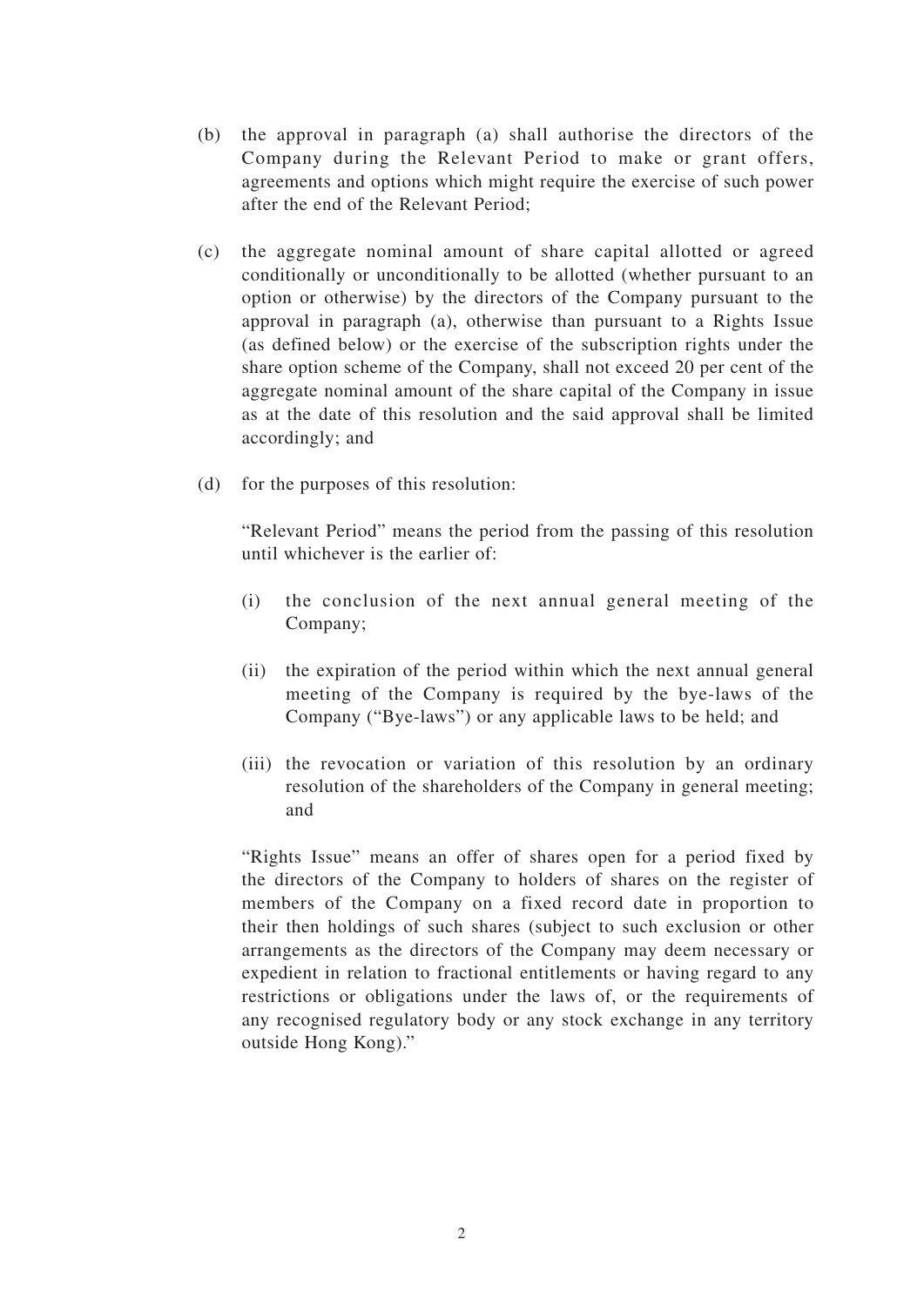- (b) the approval in paragraph (a) shall authorise the directors of the Company during the Relevant Period to make or grant offers, agreements and options which might require the exercise of such power after the end of the Relevant Period;
- (c) the aggregate nominal amount of share capital allotted or agreed conditionally or unconditionally to be allotted (whether pursuant to an option or otherwise) by the directors of the Company pursuant to the approval in paragraph (a), otherwise than pursuant to a Rights Issue (as defined below) or the exercise of the subscription rights under the share option scheme of the Company, shall not exceed 20 per cent of the aggregate nominal amount of the share capital of the Company in issue as at the date of this resolution and the said approval shall be limited accordingly; and
- (d) for the purposes of this resolution:

"Relevant Period" means the period from the passing of this resolution until whichever is the earlier of:

- (i) the conclusion of the next annual general meeting of the Company;
- (ii) the expiration of the period within which the next annual general meeting of the Company is required by the bye-laws of the Company ("Bye-laws") or any applicable laws to be held; and
- (iii) the revocation or variation of this resolution by an ordinary resolution of the shareholders of the Company in general meeting; and

"Rights Issue" means an offer of shares open for a period fixed by the directors of the Company to holders of shares on the register of members of the Company on a fixed record date in proportion to their then holdings of such shares (subject to such exclusion or other arrangements as the directors of the Company may deem necessary or expedient in relation to fractional entitlements or having regard to any restrictions or obligations under the laws of, or the requirements of any recognised regulatory body or any stock exchange in any territory outside Hong Kong)."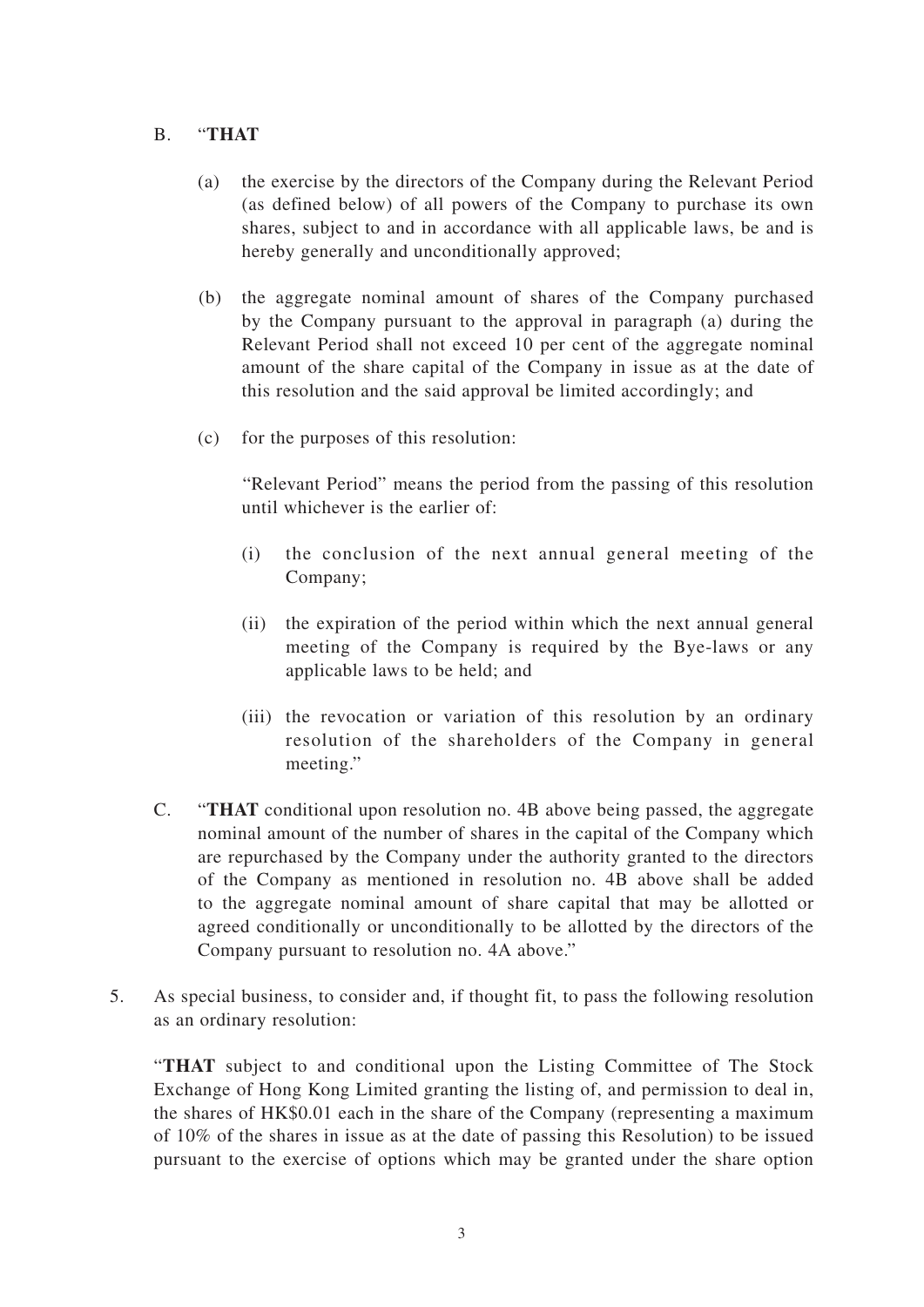### B. "**THAT**

- (a) the exercise by the directors of the Company during the Relevant Period (as defined below) of all powers of the Company to purchase its own shares, subject to and in accordance with all applicable laws, be and is hereby generally and unconditionally approved;
- (b) the aggregate nominal amount of shares of the Company purchased by the Company pursuant to the approval in paragraph (a) during the Relevant Period shall not exceed 10 per cent of the aggregate nominal amount of the share capital of the Company in issue as at the date of this resolution and the said approval be limited accordingly; and
- (c) for the purposes of this resolution:

"Relevant Period" means the period from the passing of this resolution until whichever is the earlier of:

- (i) the conclusion of the next annual general meeting of the Company;
- (ii) the expiration of the period within which the next annual general meeting of the Company is required by the Bye-laws or any applicable laws to be held; and
- (iii) the revocation or variation of this resolution by an ordinary resolution of the shareholders of the Company in general meeting."
- C. "**THAT** conditional upon resolution no. 4B above being passed, the aggregate nominal amount of the number of shares in the capital of the Company which are repurchased by the Company under the authority granted to the directors of the Company as mentioned in resolution no. 4B above shall be added to the aggregate nominal amount of share capital that may be allotted or agreed conditionally or unconditionally to be allotted by the directors of the Company pursuant to resolution no. 4A above."
- 5. As special business, to consider and, if thought fit, to pass the following resolution as an ordinary resolution:

"**THAT** subject to and conditional upon the Listing Committee of The Stock Exchange of Hong Kong Limited granting the listing of, and permission to deal in, the shares of HK\$0.01 each in the share of the Company (representing a maximum of 10% of the shares in issue as at the date of passing this Resolution) to be issued pursuant to the exercise of options which may be granted under the share option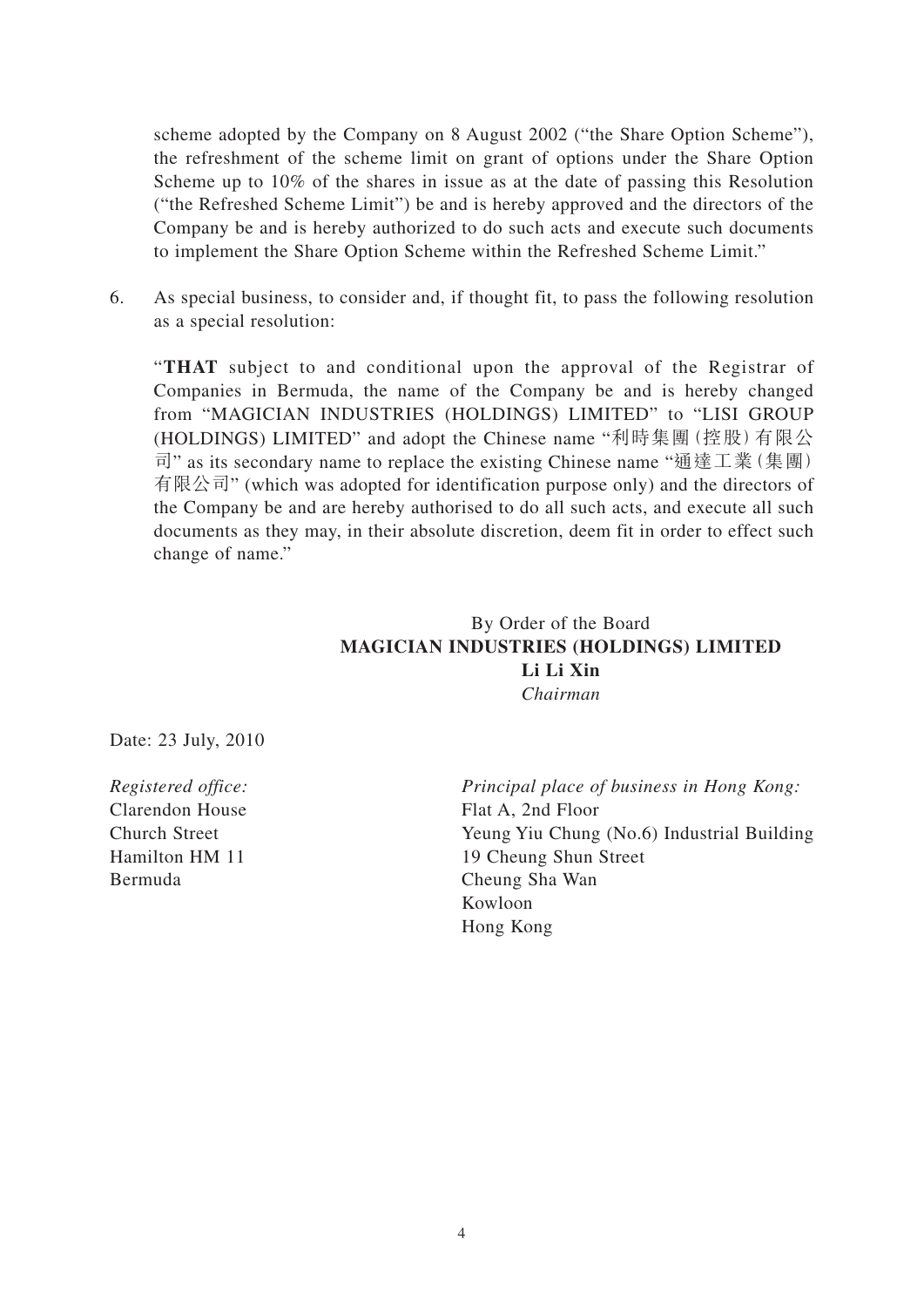scheme adopted by the Company on 8 August 2002 ("the Share Option Scheme"), the refreshment of the scheme limit on grant of options under the Share Option Scheme up to 10% of the shares in issue as at the date of passing this Resolution ("the Refreshed Scheme Limit") be and is hereby approved and the directors of the Company be and is hereby authorized to do such acts and execute such documents to implement the Share Option Scheme within the Refreshed Scheme Limit."

6. As special business, to consider and, if thought fit, to pass the following resolution as a special resolution:

"**THAT** subject to and conditional upon the approval of the Registrar of Companies in Bermuda, the name of the Company be and is hereby changed from "MAGICIAN INDUSTRIES (HOLDINGS) LIMITED" to "LISI GROUP (HOLDINGS) LIMITED" and adopt the Chinese name "利時集團(控股)有限公 司" as its secondary name to replace the existing Chinese name "通達工業(集團) 有限公司" (which was adopted for identification purpose only) and the directors of the Company be and are hereby authorised to do all such acts, and execute all such documents as they may, in their absolute discretion, deem fit in order to effect such change of name."

## By Order of the Board **MAGICIAN INDUSTRIES (HOLDINGS) LIMITED Li Li Xin** *Chairman*

Date: 23 July, 2010

Clarendon House Flat A, 2nd Floor Bermuda Cheung Sha Wan

*Registered office: Principal place of business in Hong Kong:* Church Street Yeung Yiu Chung (No.6) Industrial Building Hamilton HM 11 19 Cheung Shun Street Kowloon Hong Kong